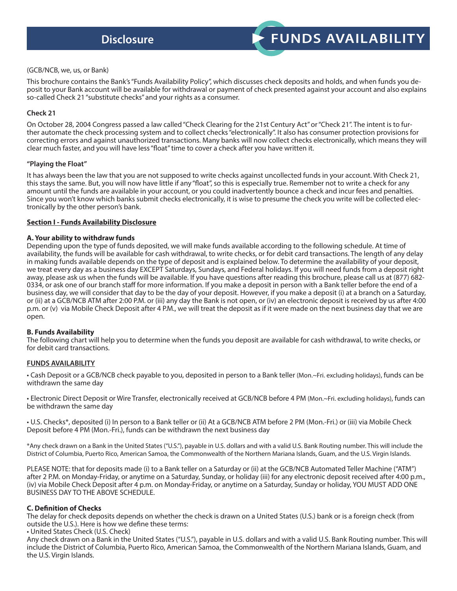# **FUNDS AVAILABILITY**

#### (GCB/NCB, we, us, or Bank)

This brochure contains the Bank's "Funds Availability Policy", which discusses check deposits and holds, and when funds you deposit to your Bank account will be available for withdrawal or payment of check presented against your account and also explains so-called Check 21 "substitute checks" and your rights as a consumer.

#### **Check 21**

On October 28, 2004 Congress passed a law called "Check Clearing for the 21st Century Act" or "Check 21". The intent is to further automate the check processing system and to collect checks "electronically". It also has consumer protection provisions for correcting errors and against unauthorized transactions. Many banks will now collect checks electronically, which means they will clear much faster, and you will have less "float" time to cover a check after you have written it.

#### **"Playing the Float"**

It has always been the law that you are not supposed to write checks against uncollected funds in your account. With Check 21, this stays the same. But, you will now have little if any "float", so this is especially true. Remember not to write a check for any amount until the funds are available in your account, or you could inadvertently bounce a check and incur fees and penalties. Since you won't know which banks submit checks electronically, it is wise to presume the check you write will be collected electronically by the other person's bank.

#### **Section I - Funds Availability Disclosure**

#### **A. Your ability to withdraw funds**

Depending upon the type of funds deposited, we will make funds available according to the following schedule. At time of availability, the funds will be available for cash withdrawal, to write checks, or for debit card transactions. The length of any delay in making funds available depends on the type of deposit and is explained below. To determine the availability of your deposit, we treat every day as a business day EXCEPT Saturdays, Sundays, and Federal holidays. If you will need funds from a deposit right away, please ask us when the funds will be available. If you have questions after reading this brochure, please call us at (877) 682- 0334, or ask one of our branch staff for more information. If you make a deposit in person with a Bank teller before the end of a business day, we will consider that day to be the day of your deposit. However, if you make a deposit (i) at a branch on a Saturday, or (ii) at a GCB/NCB ATM after 2:00 P.M. or (iii) any day the Bank is not open, or (iv) an electronic deposit is received by us after 4:00 p.m. or (v) via Mobile Check Deposit after 4 P.M., we will treat the deposit as if it were made on the next business day that we are open.

# **B. Funds Availability**

The following chart will help you to determine when the funds you deposit are available for cash withdrawal, to write checks, or for debit card transactions.

# **FUNDS AVAILABILITY**

• Cash Deposit or a GCB/NCB check payable to you, deposited in person to a Bank teller (Mon.~Fri. excluding holidays), funds can be withdrawn the same day

• Electronic Direct Deposit or Wire Transfer, electronically received at GCB/NCB before 4 PM (Mon.~Fri. excluding holidays), funds can be withdrawn the same day

• U.S. Checks\*, deposited (i) In person to a Bank teller or (ii) At a GCB/NCB ATM before 2 PM (Mon.-Fri.) or (iii) via Mobile Check Deposit before 4 PM (Mon.-Fri.), funds can be withdrawn the next business day

\*Any check drawn on a Bank in the United States ("U.S."), payable in U.S. dollars and with a valid U.S. Bank Routing number. This will include the District of Columbia, Puerto Rico, American Samoa, the Commonwealth of the Northern Mariana Islands, Guam, and the U.S. Virgin Islands.

PLEASE NOTE: that for deposits made (i) to a Bank teller on a Saturday or (ii) at the GCB/NCB Automated Teller Machine ("ATM") after 2 P.M. on Monday-Friday, or anytime on a Saturday, Sunday, or holiday (iii) for any electronic deposit received after 4:00 p.m., (iv) via Mobile Check Deposit after 4 p.m. on Monday-Friday, or anytime on a Saturday, Sunday or holiday, YOU MUST ADD ONE BUSINESS DAY TO THE ABOVE SCHEDULE.

# **C. Definition of Checks**

The delay for check deposits depends on whether the check is drawn on a United States (U.S.) bank or is a foreign check (from outside the U.S.). Here is how we define these terms:

• United States Check (U.S. Check)

Any check drawn on a Bank in the United States ("U.S."), payable in U.S. dollars and with a valid U.S. Bank Routing number. This will include the District of Columbia, Puerto Rico, American Samoa, the Commonwealth of the Northern Mariana Islands, Guam, and the U.S. Virgin Islands.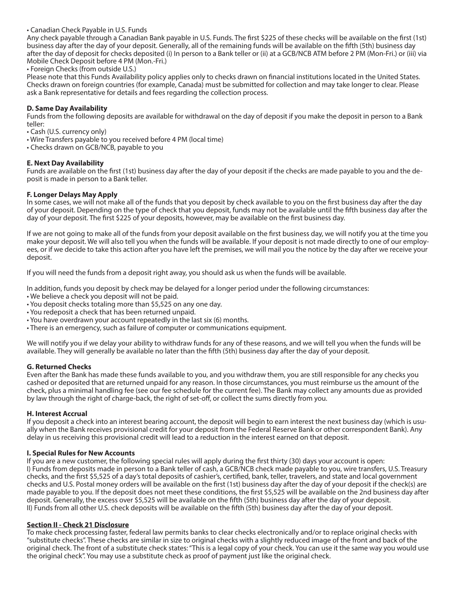#### • Canadian Check Payable in U.S. Funds

Any check payable through a Canadian Bank payable in U.S. Funds. The first \$225 of these checks will be available on the first (1st) business day after the day of your deposit. Generally, all of the remaining funds will be available on the fifth (5th) business day after the day of deposit for checks deposited (i) In person to a Bank teller or (ii) at a GCB/NCB ATM before 2 PM (Mon-Fri.) or (iii) via Mobile Check Deposit before 4 PM (Mon.-Fri.)

• Foreign Checks (from outside U.S.)

Please note that this Funds Availability policy applies only to checks drawn on financial institutions located in the United States. Checks drawn on foreign countries (for example, Canada) must be submitted for collection and may take longer to clear. Please ask a Bank representative for details and fees regarding the collection process.

### **D. Same Day Availability**

Funds from the following deposits are available for withdrawal on the day of deposit if you make the deposit in person to a Bank teller:

• Cash (U.S. currency only)

• Wire Transfers payable to you received before 4 PM (local time)

• Checks drawn on GCB/NCB, payable to you

#### **E. Next Day Availability**

Funds are available on the first (1st) business day after the day of your deposit if the checks are made payable to you and the deposit is made in person to a Bank teller.

#### **F. Longer Delays May Apply**

In some cases, we will not make all of the funds that you deposit by check available to you on the first business day after the day of your deposit. Depending on the type of check that you deposit, funds may not be available until the fifth business day after the day of your deposit. The first \$225 of your deposits, however, may be available on the first business day.

If we are not going to make all of the funds from your deposit available on the first business day, we will notify you at the time you make your deposit. We will also tell you when the funds will be available. If your deposit is not made directly to one of our employees, or if we decide to take this action after you have left the premises, we will mail you the notice by the day after we receive your deposit.

If you will need the funds from a deposit right away, you should ask us when the funds will be available.

In addition, funds you deposit by check may be delayed for a longer period under the following circumstances:

- We believe a check you deposit will not be paid.
- You deposit checks totaling more than \$5,525 on any one day.
- You redeposit a check that has been returned unpaid.
- You have overdrawn your account repeatedly in the last six (6) months.
- There is an emergency, such as failure of computer or communications equipment.

We will notify you if we delay your ability to withdraw funds for any of these reasons, and we will tell you when the funds will be available. They will generally be available no later than the fifth (5th) business day after the day of your deposit.

#### **G. Returned Checks**

Even after the Bank has made these funds available to you, and you withdraw them, you are still responsible for any checks you cashed or deposited that are returned unpaid for any reason. In those circumstances, you must reimburse us the amount of the check, plus a minimal handling fee (see our fee schedule for the current fee). The Bank may collect any amounts due as provided by law through the right of charge-back, the right of set-off, or collect the sums directly from you.

#### **H. Interest Accrual**

If you deposit a check into an interest bearing account, the deposit will begin to earn interest the next business day (which is usually when the Bank receives provisional credit for your deposit from the Federal Reserve Bank or other correspondent Bank). Any delay in us receiving this provisional credit will lead to a reduction in the interest earned on that deposit.

#### **I. Special Rules for New Accounts**

If you are a new customer, the following special rules will apply during the first thirty (30) days your account is open: I) Funds from deposits made in person to a Bank teller of cash, a GCB/NCB check made payable to you, wire transfers, U.S. Treasury checks, and the first \$5,525 of a day's total deposits of cashier's, certified, bank, teller, travelers, and state and local government checks and U.S. Postal money orders will be available on the first (1st) business day after the day of your deposit if the check(s) are made payable to you. If the deposit does not meet these conditions, the first \$5,525 will be available on the 2nd business day after deposit. Generally, the excess over \$5,525 will be available on the fifth (5th) business day after the day of your deposit. II) Funds from all other U.S. check deposits will be available on the fifth (5th) business day after the day of your deposit.

#### **Section II - Check 21 Disclosure**

To make check processing faster, federal law permits banks to clear checks electronically and/or to replace original checks with "substitute checks". These checks are similar in size to original checks with a slightly reduced image of the front and back of the original check. The front of a substitute check states: "This is a legal copy of your check. You can use it the same way you would use the original check". You may use a substitute check as proof of payment just like the original check.